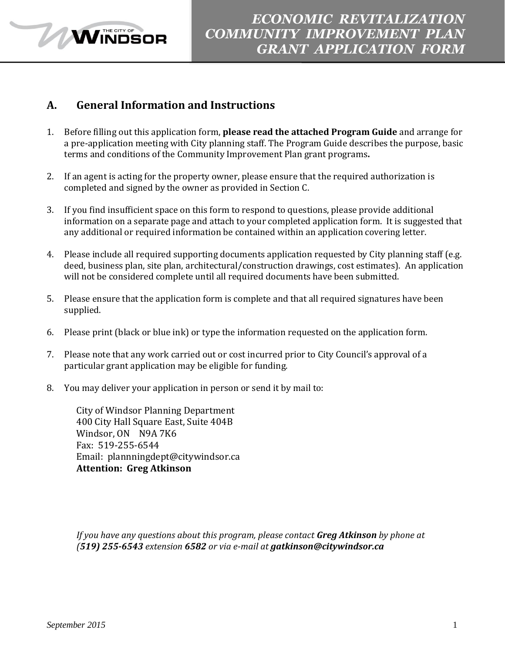

### **A. General Information and Instructions**

**WINDSOR** 

- 1. Before filling out this application form, **please read the attached Program Guide** and arrange for a pre-application meeting with City planning staff. The Program Guide describes the purpose, basic terms and conditions of the Community Improvement Plan grant programs**.**
- 2. If an agent is acting for the property owner, please ensure that the required authorization is completed and signed by the owner as provided in Section C.
- 3. If you find insufficient space on this form to respond to questions, please provide additional information on a separate page and attach to your completed application form. It is suggested that any additional or required information be contained within an application covering letter.
- 4. Please include all required supporting documents application requested by City planning staff (e.g. deed, business plan, site plan, architectural/construction drawings, cost estimates).An application will not be considered complete until all required documents have been submitted.
- 5. Please ensure that the application form is complete and that all required signatures have been supplied.
- 6. Please print (black or blue ink) or type the information requested on the application form.
- 7. Please note that any work carried out or cost incurred prior to City Council's approval of a particular grant application may be eligible for funding.
- 8. You may deliver your application in person or send it by mail to:

City of Windsor Planning Department 400 City Hall Square East, Suite 404B Windsor, ON N9A 7K6 Fax: 519-255-6544 Email: plannningdept@citywindsor.ca **Attention: Greg Atkinson**

*If you have any questions about this program, please contact Greg Atkinson by phone at (519) 255-6543 extension 6582 or via e-mail at gatkinson@citywindsor.ca*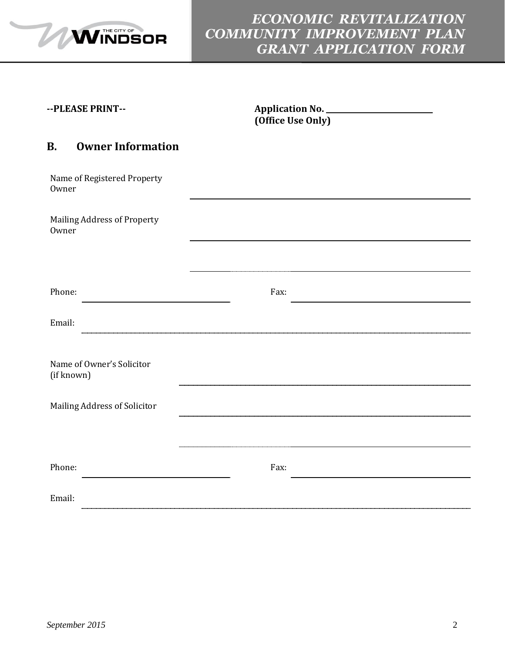

# *ECONOMIC REVITALIZATION COMMUNITY IMPROVEMENT PLAN GRANT APPLICATION FORM*

| --PLEASE PRINT-- |  |
|------------------|--|
|------------------|--|

Application No. **<u>\_\_\_\_\_\_\_\_\_\_\_\_\_\_\_\_\_\_\_\_</u>\_\_\_ (Office Use Only)**

#### **B. Owner Information**

| Name of Registered Property<br>Owner    |      |  |
|-----------------------------------------|------|--|
| Mailing Address of Property<br>Owner    |      |  |
|                                         |      |  |
| Phone:                                  | Fax: |  |
| Email:                                  |      |  |
| Name of Owner's Solicitor<br>(if known) |      |  |
| Mailing Address of Solicitor            |      |  |
|                                         |      |  |
| Phone:                                  | Fax: |  |
| Email:                                  |      |  |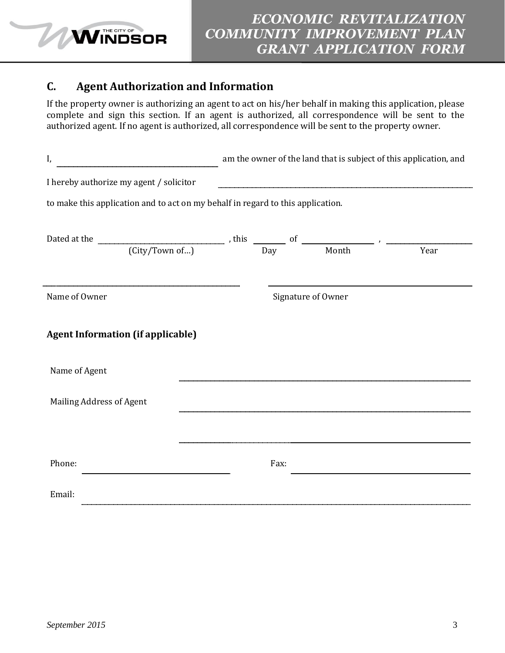

### **C. Agent Authorization and Information**

If the property owner is authorizing an agent to act on his/her behalf in making this application, please complete and sign this section. If an agent is authorized, all correspondence will be sent to the authorized agent. If no agent is authorized, all correspondence will be sent to the property owner.

| I,                                                                                                                          | am the owner of the land that is subject of this application, and |      |                    |  |
|-----------------------------------------------------------------------------------------------------------------------------|-------------------------------------------------------------------|------|--------------------|--|
| I hereby authorize my agent / solicitor                                                                                     |                                                                   |      |                    |  |
| to make this application and to act on my behalf in regard to this application.                                             |                                                                   |      |                    |  |
| Dated at the $\overline{City/Town of}$ , this $\overline{Day}$ of $\overline{Day}$ , $\overline{Month}$ , $\overline{Year}$ |                                                                   |      |                    |  |
|                                                                                                                             |                                                                   |      |                    |  |
| Name of Owner                                                                                                               |                                                                   |      | Signature of Owner |  |
| <b>Agent Information (if applicable)</b>                                                                                    |                                                                   |      |                    |  |
| Name of Agent                                                                                                               |                                                                   |      |                    |  |
| Mailing Address of Agent                                                                                                    |                                                                   |      |                    |  |
|                                                                                                                             |                                                                   |      |                    |  |
| Phone:                                                                                                                      |                                                                   | Fax: |                    |  |
| Email:                                                                                                                      |                                                                   |      |                    |  |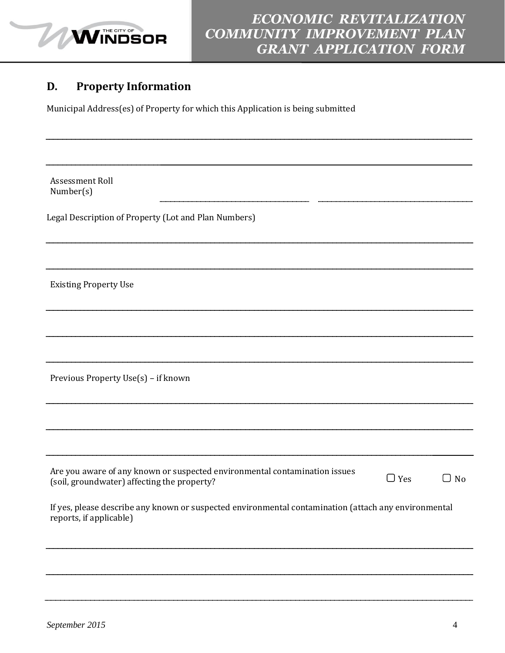

### **D. Property Information**

Municipal Address(es) of Property for which this Application is being submitted

Assessment Roll Number(s)

Legal Description of Property (Lot and Plan Numbers)

Existing Property Use

Previous Property Use(s) – if known

| Are you aware of any known or suspected environmental contamination issues |            |           |
|----------------------------------------------------------------------------|------------|-----------|
| (soil, groundwater) affecting the property?                                | $\Box$ Yes | $\Box$ No |

If yes, please describe any known or suspected environmental contamination (attach any environmental reports, if applicable)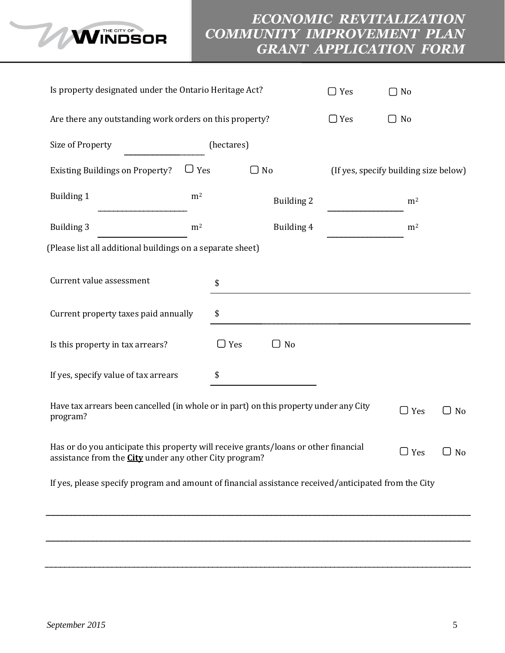

# *ECONOMIC REVITALIZATION COMMUNITY IMPROVEMENT PLAN GRANT APPLICATION FORM*

| Is property designated under the Ontario Heritage Act?                                                                                                             |                |            | $\Box$ Yes        | $\Box$ No                             |                |           |
|--------------------------------------------------------------------------------------------------------------------------------------------------------------------|----------------|------------|-------------------|---------------------------------------|----------------|-----------|
| Are there any outstanding work orders on this property?                                                                                                            |                |            |                   | $\Box$ Yes                            | $\Box$ No      |           |
| Size of Property                                                                                                                                                   |                | (hectares) |                   |                                       |                |           |
| <b>Existing Buildings on Property?</b>                                                                                                                             | $\Box$ Yes     | $\Box$ No  |                   | (If yes, specify building size below) |                |           |
| <b>Building 1</b>                                                                                                                                                  | m <sup>2</sup> |            | <b>Building 2</b> |                                       | m <sup>2</sup> |           |
| <b>Building 3</b>                                                                                                                                                  | m <sup>2</sup> |            | Building 4        |                                       | m <sup>2</sup> |           |
| (Please list all additional buildings on a separate sheet)                                                                                                         |                |            |                   |                                       |                |           |
| Current value assessment<br>\$                                                                                                                                     |                |            |                   |                                       |                |           |
| Current property taxes paid annually<br>\$                                                                                                                         |                |            |                   |                                       |                |           |
| Is this property in tax arrears?                                                                                                                                   |                | $\Box$ Yes | $\Box$ No         |                                       |                |           |
| If yes, specify value of tax arrears<br>\$                                                                                                                         |                |            |                   |                                       |                |           |
| Have tax arrears been cancelled (in whole or in part) on this property under any City<br>program?                                                                  |                |            |                   |                                       | $\Box$ Yes     | $\Box$ No |
| Has or do you anticipate this property will receive grants/loans or other financial<br>$\Box$ Yes<br>assistance from the <b>City</b> under any other City program? |                |            |                   | $\Box$ No                             |                |           |
| If yes, please specify program and amount of financial assistance received/anticipated from the City                                                               |                |            |                   |                                       |                |           |
|                                                                                                                                                                    |                |            |                   |                                       |                |           |
|                                                                                                                                                                    |                |            |                   |                                       |                |           |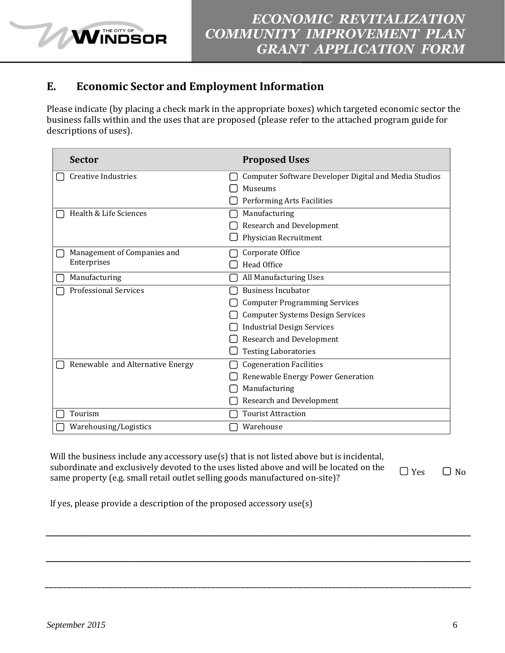### **E. Economic Sector and Employment Information**

**WINDSOR** 

Please indicate (by placing a check mark in the appropriate boxes) which targeted economic sector the business falls within and the uses that are proposed (please refer to the attached program guide for descriptions of uses).

| <b>Sector</b>                    | <b>Proposed Uses</b>                                  |
|----------------------------------|-------------------------------------------------------|
| <b>Creative Industries</b>       | Computer Software Developer Digital and Media Studios |
|                                  | Museums                                               |
|                                  | Performing Arts Facilities                            |
| Health & Life Sciences           | Manufacturing                                         |
|                                  | Research and Development                              |
|                                  | Physician Recruitment                                 |
| Management of Companies and      | Corporate Office                                      |
| Enterprises                      | Head Office                                           |
| Manufacturing                    | All Manufacturing Uses                                |
| <b>Professional Services</b>     | <b>Business Incubator</b>                             |
|                                  | <b>Computer Programming Services</b>                  |
|                                  | <b>Computer Systems Design Services</b>               |
|                                  | <b>Industrial Design Services</b>                     |
|                                  | Research and Development                              |
|                                  | <b>Testing Laboratories</b>                           |
| Renewable and Alternative Energy | <b>Cogeneration Facilities</b>                        |
|                                  | Renewable Energy Power Generation                     |
|                                  | Manufacturing                                         |
|                                  | Research and Development                              |
| Tourism                          | <b>Tourist Attraction</b>                             |
| Warehousing/Logistics            | Warehouse                                             |

Will the business include any accessory use(s) that is not listed above but is incidental, subordinate and exclusively devoted to the uses listed above and will be located on the supordinate and exclusively devoted to the uses listed above and will be located on the  $\Box$  Yes  $\Box$  No same property (e.g. small retail outlet selling goods manufactured on-site)?

If yes, please provide a description of the proposed accessory use(s)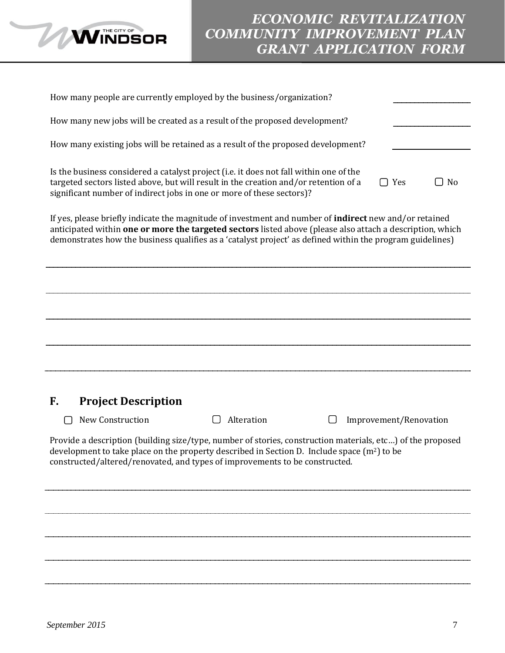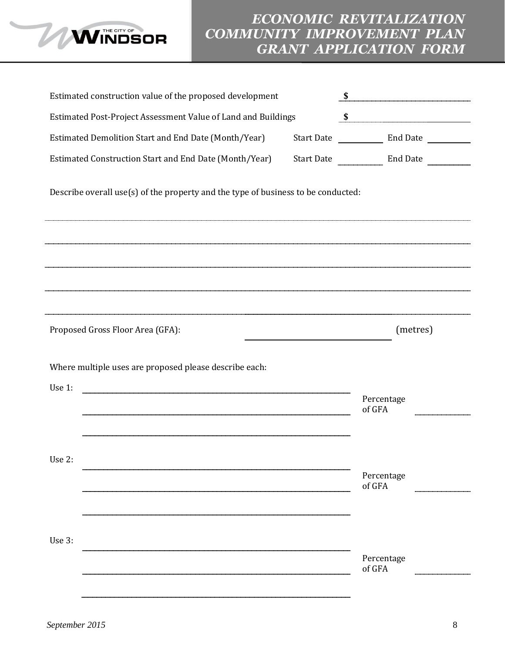

|        | Estimated construction value of the proposed development                          |                   |                      | $\begin{array}{c c c c c c} \hline \textbf{S} & \textbf{S} & \textbf{S} & \textbf{S} & \textbf{S} & \textbf{S} & \textbf{S} & \textbf{S} & \textbf{S} & \textbf{S} & \textbf{S} & \textbf{S} & \textbf{S} & \textbf{S} & \textbf{S} & \textbf{S} & \textbf{S} & \textbf{S} & \textbf{S} & \textbf{S} & \textbf{S} & \textbf{S} & \textbf{S} & \textbf{S} & \textbf{S} & \textbf{S} & \textbf{S} & \textbf{S} & \textbf{$ |
|--------|-----------------------------------------------------------------------------------|-------------------|----------------------|--------------------------------------------------------------------------------------------------------------------------------------------------------------------------------------------------------------------------------------------------------------------------------------------------------------------------------------------------------------------------------------------------------------------------|
|        | Estimated Post-Project Assessment Value of Land and Buildings                     |                   | $\sim$               |                                                                                                                                                                                                                                                                                                                                                                                                                          |
|        | Estimated Demolition Start and End Date (Month/Year)                              | <b>Start Date</b> |                      |                                                                                                                                                                                                                                                                                                                                                                                                                          |
|        | Estimated Construction Start and End Date (Month/Year)                            |                   | Start Date Find Date |                                                                                                                                                                                                                                                                                                                                                                                                                          |
|        | Describe overall use(s) of the property and the type of business to be conducted: |                   |                      |                                                                                                                                                                                                                                                                                                                                                                                                                          |
|        |                                                                                   |                   |                      |                                                                                                                                                                                                                                                                                                                                                                                                                          |
|        |                                                                                   |                   |                      |                                                                                                                                                                                                                                                                                                                                                                                                                          |
|        |                                                                                   |                   |                      |                                                                                                                                                                                                                                                                                                                                                                                                                          |
|        | Proposed Gross Floor Area (GFA):                                                  |                   |                      | (metres)                                                                                                                                                                                                                                                                                                                                                                                                                 |
|        | Where multiple uses are proposed please describe each:                            |                   |                      |                                                                                                                                                                                                                                                                                                                                                                                                                          |
| Use 1: |                                                                                   |                   | Percentage           |                                                                                                                                                                                                                                                                                                                                                                                                                          |
|        |                                                                                   |                   | of GFA               |                                                                                                                                                                                                                                                                                                                                                                                                                          |
|        |                                                                                   |                   |                      |                                                                                                                                                                                                                                                                                                                                                                                                                          |
| Use 2: |                                                                                   |                   |                      |                                                                                                                                                                                                                                                                                                                                                                                                                          |
|        |                                                                                   |                   | Percentage<br>of GFA |                                                                                                                                                                                                                                                                                                                                                                                                                          |
|        |                                                                                   |                   |                      |                                                                                                                                                                                                                                                                                                                                                                                                                          |
|        |                                                                                   |                   |                      |                                                                                                                                                                                                                                                                                                                                                                                                                          |
| Use 3: |                                                                                   |                   |                      |                                                                                                                                                                                                                                                                                                                                                                                                                          |
|        |                                                                                   |                   | Percentage<br>of GFA |                                                                                                                                                                                                                                                                                                                                                                                                                          |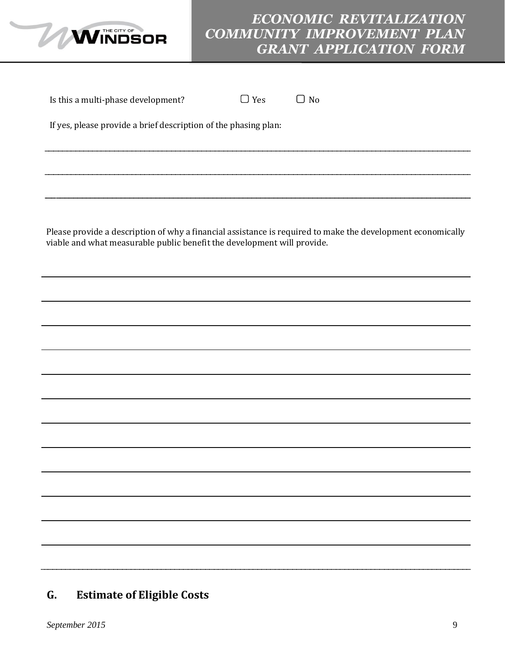

# *ECONOMIC REVITALIZATION COMMUNITY IMPROVEMENT PLAN GRANT APPLICATION FORM*

| Is this a multi-phase development?                                      | $\Box$ Yes | $\Box$ No                                                                                                   |
|-------------------------------------------------------------------------|------------|-------------------------------------------------------------------------------------------------------------|
| If yes, please provide a brief description of the phasing plan:         |            |                                                                                                             |
|                                                                         |            |                                                                                                             |
|                                                                         |            |                                                                                                             |
| viable and what measurable public benefit the development will provide. |            | Please provide a description of why a financial assistance is required to make the development economically |
|                                                                         |            |                                                                                                             |
|                                                                         |            |                                                                                                             |
|                                                                         |            |                                                                                                             |
|                                                                         |            |                                                                                                             |
|                                                                         |            |                                                                                                             |
|                                                                         |            |                                                                                                             |
|                                                                         |            |                                                                                                             |
|                                                                         |            |                                                                                                             |
|                                                                         |            |                                                                                                             |
|                                                                         |            |                                                                                                             |
|                                                                         |            |                                                                                                             |

# **G. Estimate of Eligible Costs**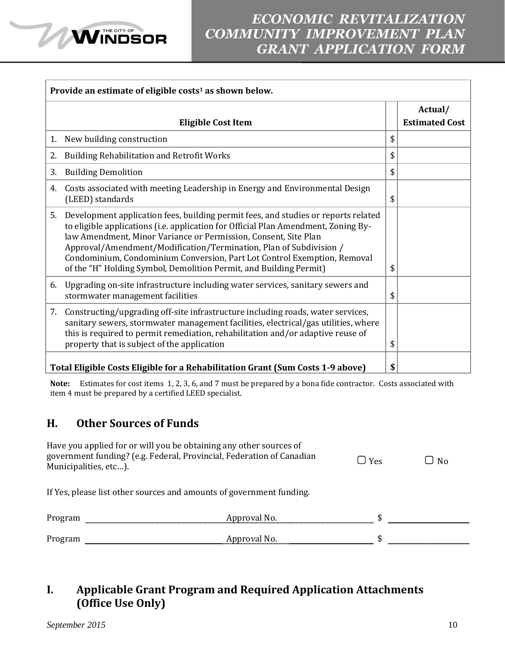

|    | Provide an estimate of eligible costs <sup>1</sup> as shown below.                                                                                                                                                                                                                                                                                                                                                                                                  |    |                                  |  |  |
|----|---------------------------------------------------------------------------------------------------------------------------------------------------------------------------------------------------------------------------------------------------------------------------------------------------------------------------------------------------------------------------------------------------------------------------------------------------------------------|----|----------------------------------|--|--|
|    | <b>Eligible Cost Item</b>                                                                                                                                                                                                                                                                                                                                                                                                                                           |    | Actual/<br><b>Estimated Cost</b> |  |  |
| 1. | New building construction                                                                                                                                                                                                                                                                                                                                                                                                                                           | \$ |                                  |  |  |
| 2. | <b>Building Rehabilitation and Retrofit Works</b>                                                                                                                                                                                                                                                                                                                                                                                                                   | \$ |                                  |  |  |
| 3. | <b>Building Demolition</b>                                                                                                                                                                                                                                                                                                                                                                                                                                          | \$ |                                  |  |  |
| 4. | Costs associated with meeting Leadership in Energy and Environmental Design<br>(LEED) standards                                                                                                                                                                                                                                                                                                                                                                     | \$ |                                  |  |  |
| 5. | Development application fees, building permit fees, and studies or reports related<br>to eligible applications (i.e. application for Official Plan Amendment, Zoning By-<br>law Amendment, Minor Variance or Permission, Consent, Site Plan<br>Approval/Amendment/Modification/Termination, Plan of Subdivision /<br>Condominium, Condominium Conversion, Part Lot Control Exemption, Removal<br>of the "H" Holding Symbol, Demolition Permit, and Building Permit) | \$ |                                  |  |  |
| 6. | Upgrading on-site infrastructure including water services, sanitary sewers and<br>stormwater management facilities                                                                                                                                                                                                                                                                                                                                                  | \$ |                                  |  |  |
| 7. | Constructing/upgrading off-site infrastructure including roads, water services,<br>sanitary sewers, stormwater management facilities, electrical/gas utilities, where<br>this is required to permit remediation, rehabilitation and/or adaptive reuse of<br>property that is subject of the application                                                                                                                                                             | \$ |                                  |  |  |
|    | Total Eligible Costs Eligible for a Rehabilitation Grant (Sum Costs 1-9 above)                                                                                                                                                                                                                                                                                                                                                                                      | \$ |                                  |  |  |

**Note:** Estimates for cost items 1, 2, 3, 6, and 7 must be prepared by a bona fide contractor. Costs associated with item 4 must be prepared by a certified LEED specialist.

### **H. Other Sources of Funds**

**MINDSOR** 

| Municipalities, etc). | Have you applied for or will you be obtaining any other sources of<br>government funding? (e.g. Federal, Provincial, Federation of Canadian | $\vert$ Yes | ⊥ No |
|-----------------------|---------------------------------------------------------------------------------------------------------------------------------------------|-------------|------|
|                       | If Yes, please list other sources and amounts of government funding.                                                                        |             |      |
| Program               | Approval No.                                                                                                                                |             |      |
| Program               | Approval No.                                                                                                                                |             |      |

### **I. Applicable Grant Program and Required Application Attachments (Office Use Only)**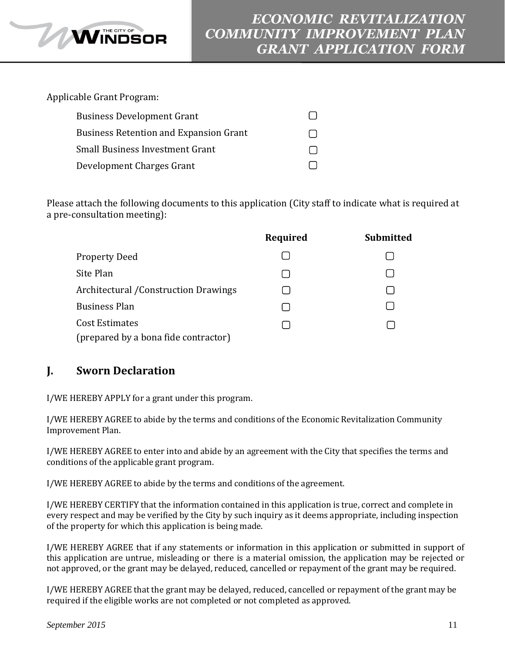Applicable Grant Program:

**WINDSOR** 

| <b>Business Development Grant</b>             |  |
|-----------------------------------------------|--|
| <b>Business Retention and Expansion Grant</b> |  |
| Small Business Investment Grant               |  |
| Development Charges Grant                     |  |

Please attach the following documents to this application (City staff to indicate what is required at a pre-consultation meeting):

|                                                        | Required | Submitted |
|--------------------------------------------------------|----------|-----------|
| <b>Property Deed</b>                                   |          |           |
| Site Plan                                              |          |           |
| <b>Architectural / Construction Drawings</b>           |          |           |
| <b>Business Plan</b>                                   |          |           |
| Cost Estimates<br>(prepared by a bona fide contractor) |          |           |
|                                                        |          |           |

### **J. Sworn Declaration**

I/WE HEREBY APPLY for a grant under this program.

I/WE HEREBY AGREE to abide by the terms and conditions of the Economic Revitalization Community Improvement Plan.

I/WE HEREBY AGREE to enter into and abide by an agreement with the City that specifies the terms and conditions of the applicable grant program.

I/WE HEREBY AGREE to abide by the terms and conditions of the agreement.

I/WE HEREBY CERTIFY that the information contained in this application is true, correct and complete in every respect and may be verified by the City by such inquiry as it deems appropriate, including inspection of the property for which this application is being made.

I/WE HEREBY AGREE that if any statements or information in this application or submitted in support of this application are untrue, misleading or there is a material omission, the application may be rejected or not approved, or the grant may be delayed, reduced, cancelled or repayment of the grant may be required.

I/WE HEREBY AGREE that the grant may be delayed, reduced, cancelled or repayment of the grant may be required if the eligible works are not completed or not completed as approved.